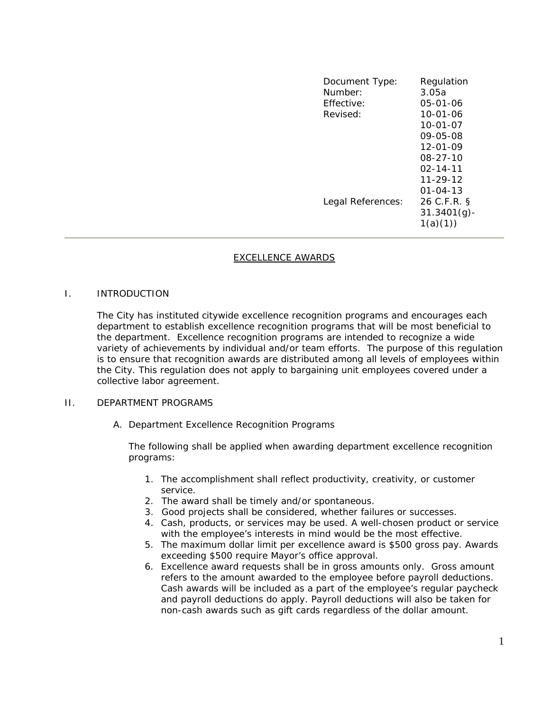| Document Type:<br>Number:<br>Effective:<br>Revised: | Regulation<br>3.05a<br>$05 - 01 - 06$<br>$10 - 01 - 06$<br>$10 - 01 - 07$<br>09-05-08<br>$12 - 01 - 09$<br>$08 - 27 - 10$<br>$02 - 14 - 11$<br>$11 - 29 - 12$ |
|-----------------------------------------------------|---------------------------------------------------------------------------------------------------------------------------------------------------------------|
| Legal References:                                   | $01 - 04 - 13$<br>26 C.F.R. §<br>$31.3401(g)$ -<br>1(a)(1))                                                                                                   |

## EXCELLENCE AWARDS

## I. INTRODUCTION

The City has instituted citywide excellence recognition programs and encourages each department to establish excellence recognition programs that will be most beneficial to the department. Excellence recognition programs are intended to recognize a wide variety of achievements by individual and/or team efforts. The purpose of this regulation is to ensure that recognition awards are distributed among all levels of employees within the City. This regulation does not apply to bargaining unit employees covered under a collective labor agreement.

## II. DEPARTMENT PROGRAMS

A. Department Excellence Recognition Programs

The following shall be applied when awarding department excellence recognition programs:

- 1. The accomplishment shall reflect productivity, creativity, or customer service.
- 2. The award shall be timely and/or spontaneous.
- 3. Good projects shall be considered, whether failures or successes.
- 4. Cash, products, or services may be used. A well-chosen product or service with the employee's interests in mind would be the most effective.
- 5. The maximum dollar limit per excellence award is \$500 gross pay. Awards exceeding \$500 require Mayor's office approval.
- 6. Excellence award requests shall be in gross amounts only. Gross amount refers to the amount awarded to the employee before payroll deductions. Cash awards will be included as a part of the employee's regular paycheck and payroll deductions do apply. Payroll deductions will also be taken for non-cash awards such as gift cards regardless of the dollar amount.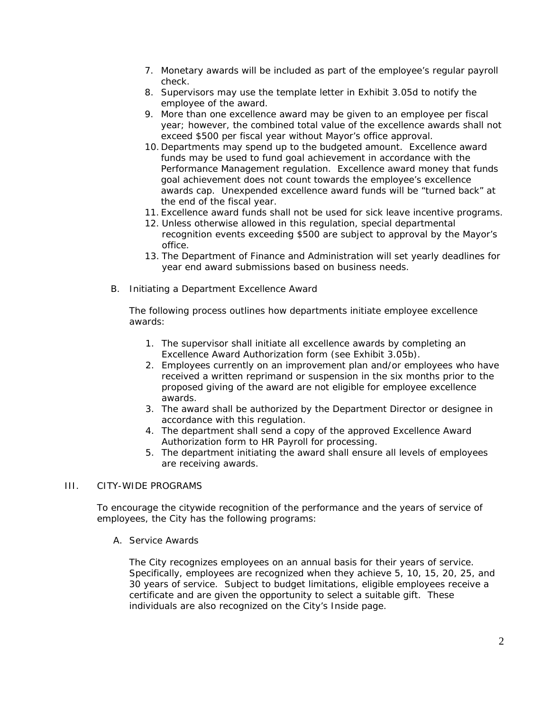- 7. Monetary awards will be included as part of the employee's regular payroll check.
- 8. Supervisors may use the template letter in Exhibit 3.05d to notify the employee of the award.
- 9. More than one excellence award may be given to an employee per fiscal year; however, the combined total value of the excellence awards shall not exceed \$500 per fiscal year without Mayor's office approval.
- 10. Departments may spend up to the budgeted amount. Excellence award funds may be used to fund goal achievement in accordance with the Performance Management regulation. Excellence award money that funds goal achievement does not count towards the employee's excellence awards cap. Unexpended excellence award funds will be "turned back" at the end of the fiscal year.
- 11. Excellence award funds shall not be used for sick leave incentive programs.
- 12. Unless otherwise allowed in this regulation, special departmental recognition events exceeding \$500 are subject to approval by the Mayor's office.
- 13. The Department of Finance and Administration will set yearly deadlines for year end award submissions based on business needs.
- B. Initiating a Department Excellence Award

The following process outlines how departments initiate employee excellence awards:

- 1. The supervisor shall initiate all excellence awards by completing an Excellence Award Authorization form (see Exhibit 3.05b).
- 2. Employees currently on an improvement plan and/or employees who have received a written reprimand or suspension in the six months prior to the proposed giving of the award are not eligible for employee excellence awards.
- 3. The award shall be authorized by the Department Director or designee in accordance with this regulation.
- 4. The department shall send a copy of the approved Excellence Award Authorization form to HR Payroll for processing.
- 5. The department initiating the award shall ensure all levels of employees are receiving awards.

## III. CITY-WIDE PROGRAMS

To encourage the citywide recognition of the performance and the years of service of employees, the City has the following programs:

A. Service Awards

The City recognizes employees on an annual basis for their years of service. Specifically, employees are recognized when they achieve 5, 10, 15, 20, 25, and 30 years of service. Subject to budget limitations, eligible employees receive a certificate and are given the opportunity to select a suitable gift. These individuals are also recognized on the City's Inside page.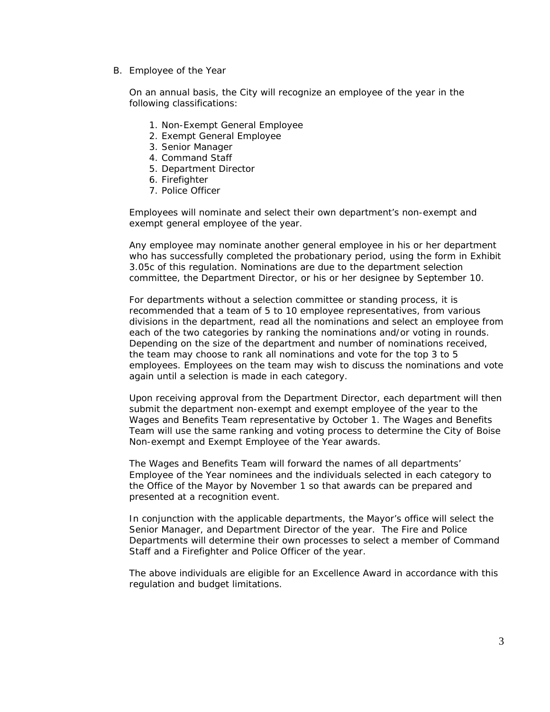B. Employee of the Year

On an annual basis, the City will recognize an employee of the year in the following classifications:

- 1. Non-Exempt General Employee
- 2. Exempt General Employee
- 3. Senior Manager
- 4. Command Staff
- 5. Department Director
- 6. Firefighter
- 7. Police Officer

Employees will nominate and select their own department's non-exempt and exempt general employee of the year.

Any employee may nominate another general employee in his or her department who has successfully completed the probationary period, using the form in Exhibit 3.05c of this regulation. Nominations are due to the department selection committee, the Department Director, or his or her designee by September 10.

For departments without a selection committee or standing process, it is recommended that a team of 5 to 10 employee representatives, from various divisions in the department, read all the nominations and select an employee from each of the two categories by ranking the nominations and/or voting in rounds. Depending on the size of the department and number of nominations received, the team may choose to rank all nominations and vote for the top 3 to 5 employees. Employees on the team may wish to discuss the nominations and vote again until a selection is made in each category.

Upon receiving approval from the Department Director, each department will then submit the department non-exempt and exempt employee of the year to the Wages and Benefits Team representative by October 1. The Wages and Benefits Team will use the same ranking and voting process to determine the City of Boise Non-exempt and Exempt Employee of the Year awards.

The Wages and Benefits Team will forward the names of all departments' Employee of the Year nominees and the individuals selected in each category to the Office of the Mayor by November 1 so that awards can be prepared and presented at a recognition event.

In conjunction with the applicable departments, the Mayor's office will select the Senior Manager, and Department Director of the year. The Fire and Police Departments will determine their own processes to select a member of Command Staff and a Firefighter and Police Officer of the year.

The above individuals are eligible for an Excellence Award in accordance with this regulation and budget limitations.